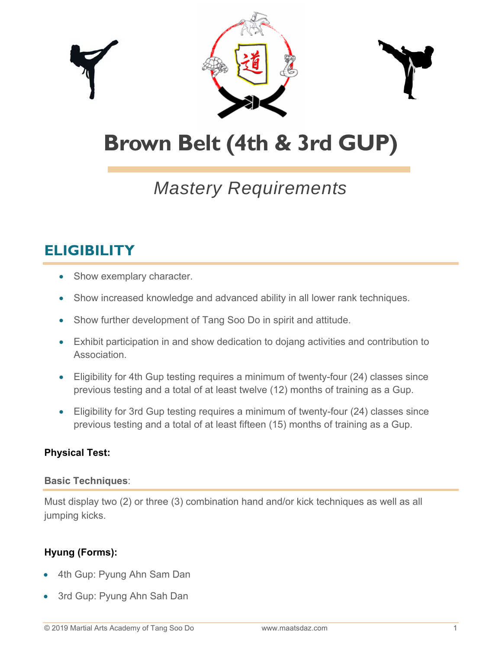

# **Brown Belt (4th & 3rd GUP)**

## *Mastery Requirements*

## **ELIGIBILITY**

- Show exemplary character.
- Show increased knowledge and advanced ability in all lower rank techniques.
- Show further development of Tang Soo Do in spirit and attitude.
- Exhibit participation in and show dedication to dojang activities and contribution to Association.
- Eligibility for 4th Gup testing requires a minimum of twenty-four (24) classes since previous testing and a total of at least twelve (12) months of training as a Gup.
- Eligibility for 3rd Gup testing requires a minimum of twenty-four (24) classes since previous testing and a total of at least fifteen (15) months of training as a Gup.

## **Physical Test:**

## **Basic Techniques**:

Must display two (2) or three (3) combination hand and/or kick techniques as well as all jumping kicks.

## **Hyung (Forms):**

- 4th Gup: Pyung Ahn Sam Dan
- 3rd Gup: Pyung Ahn Sah Dan